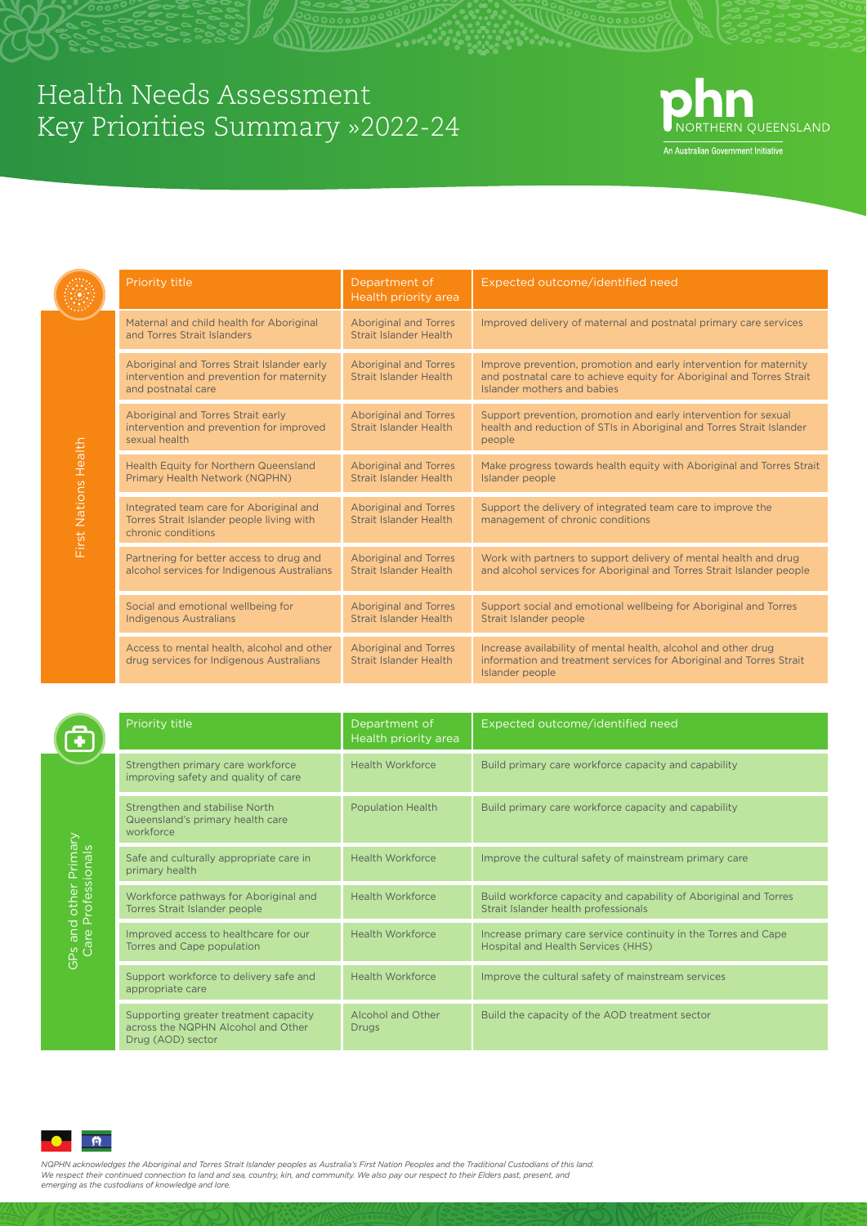## Health Needs Assessment Key Priorities Summary »2022-24



An Australian Government Initiative

|                                             | <b>Priority title</b>                                                                                                                                                                                                                                                                                                                                        | Department of<br>Health priority area                         | Expected outcome/identified need                                                                                                                                           |
|---------------------------------------------|--------------------------------------------------------------------------------------------------------------------------------------------------------------------------------------------------------------------------------------------------------------------------------------------------------------------------------------------------------------|---------------------------------------------------------------|----------------------------------------------------------------------------------------------------------------------------------------------------------------------------|
| First Nations Health                        | Maternal and child health for Aboriginal<br>and Torres Strait Islanders                                                                                                                                                                                                                                                                                      | <b>Aboriginal and Torres</b><br><b>Strait Islander Health</b> | Improved delivery of maternal and postnatal primary care services                                                                                                          |
|                                             | Aboriginal and Torres Strait Islander early<br>intervention and prevention for maternity<br>and postnatal care                                                                                                                                                                                                                                               | <b>Aboriginal and Torres</b><br><b>Strait Islander Health</b> | Improve prevention, promotion and early intervention for maternity<br>and postnatal care to achieve equity for Aboriginal and Torres Strait<br>Islander mothers and babies |
|                                             | Aboriginal and Torres Strait early<br>intervention and prevention for improved<br>sexual health                                                                                                                                                                                                                                                              | <b>Aboriginal and Torres</b><br><b>Strait Islander Health</b> | Support prevention, promotion and early intervention for sexual<br>health and reduction of STIs in Aboriginal and Torres Strait Islander<br>people                         |
|                                             | Health Equity for Northern Queensland<br>Primary Health Network (NQPHN)                                                                                                                                                                                                                                                                                      | <b>Aboriginal and Torres</b><br><b>Strait Islander Health</b> | Make progress towards health equity with Aboriginal and Torres Strait<br>Islander people                                                                                   |
|                                             | Integrated team care for Aboriginal and<br>Torres Strait Islander people living with<br>chronic conditions                                                                                                                                                                                                                                                   | <b>Aboriginal and Torres</b><br><b>Strait Islander Health</b> | Support the delivery of integrated team care to improve the<br>management of chronic conditions                                                                            |
|                                             | Partnering for better access to drug and<br>alcohol services for Indigenous Australians                                                                                                                                                                                                                                                                      | <b>Aboriginal and Torres</b><br><b>Strait Islander Health</b> | Work with partners to support delivery of mental health and drug<br>and alcohol services for Aboriginal and Torres Strait Islander people                                  |
|                                             | Social and emotional wellbeing for<br><b>Indigenous Australians</b>                                                                                                                                                                                                                                                                                          | <b>Aboriginal and Torres</b><br><b>Strait Islander Health</b> | Support social and emotional wellbeing for Aboriginal and Torres<br>Strait Islander people                                                                                 |
|                                             | Access to mental health, alcohol and other<br>drug services for Indigenous Australians                                                                                                                                                                                                                                                                       | <b>Aboriginal and Torres</b><br><b>Strait Islander Health</b> | Increase availability of mental health, alcohol and other drug<br>information and treatment services for Aboriginal and Torres Strait<br>Islander people                   |
|                                             |                                                                                                                                                                                                                                                                                                                                                              |                                                               |                                                                                                                                                                            |
|                                             | Priority title                                                                                                                                                                                                                                                                                                                                               | Department of<br>Health priority area                         | Expected outcome/identified need                                                                                                                                           |
|                                             | Strengthen primary care workforce<br>improving safety and quality of care                                                                                                                                                                                                                                                                                    | <b>Health Workforce</b>                                       | Build primary care workforce capacity and capability                                                                                                                       |
|                                             | Strengthen and stabilise North<br>Queensland's primary health care<br>workforce                                                                                                                                                                                                                                                                              | <b>Population Health</b>                                      | Build primary care workforce capacity and capability                                                                                                                       |
|                                             | Safe and culturally appropriate care in<br>primary health                                                                                                                                                                                                                                                                                                    | <b>Health Workforce</b>                                       | Improve the cultural safety of mainstream primary care                                                                                                                     |
|                                             | Workforce pathways for Aboriginal and<br>Torres Strait Islander people                                                                                                                                                                                                                                                                                       | <b>Health Workforce</b>                                       | Build workforce capacity and capability of Aboriginal and Torres<br>Strait Islander health professionals                                                                   |
| GPs and other Primary<br>Care Professionals | Improved access to healthcare for our<br>Torres and Cape population                                                                                                                                                                                                                                                                                          | <b>Health Workforce</b>                                       | Increase primary care service continuity in the Torres and Cape<br>Hospital and Health Services (HHS)                                                                      |
|                                             | Support workforce to delivery safe and<br>appropriate care                                                                                                                                                                                                                                                                                                   | <b>Health Workforce</b>                                       | Improve the cultural safety of mainstream services                                                                                                                         |
|                                             | Supporting greater treatment capacity<br>across the NQPHN Alcohol and Other<br>Drug (AOD) sector                                                                                                                                                                                                                                                             | <b>Alcohol and Other</b><br><b>Drugs</b>                      | Build the capacity of the AOD treatment sector                                                                                                                             |
|                                             |                                                                                                                                                                                                                                                                                                                                                              |                                                               |                                                                                                                                                                            |
|                                             |                                                                                                                                                                                                                                                                                                                                                              |                                                               |                                                                                                                                                                            |
|                                             |                                                                                                                                                                                                                                                                                                                                                              |                                                               |                                                                                                                                                                            |
|                                             | NQPHN acknowledges the Aboriginal and Torres Strait Islander peoples as Australia's First Nation Peoples and the Traditional Custodians of this land.<br>We respect their continued connection to land and sea, country, kin, and community. We also pay our respect to their Elders past, present, and<br>emerging as the custodians of knowledge and lore. |                                                               |                                                                                                                                                                            |

|                               | Priority title                                                                  | Department of<br>Health priority area | Expected outcome/identified need                                                                         |
|-------------------------------|---------------------------------------------------------------------------------|---------------------------------------|----------------------------------------------------------------------------------------------------------|
| other Primary<br>rofessionals | Strengthen primary care workforce<br>improving safety and quality of care       | <b>Health Workforce</b>               | Build primary care workforce capacity and capability                                                     |
|                               | Strengthen and stabilise North<br>Queensland's primary health care<br>workforce | <b>Population Health</b>              | Build primary care workforce capacity and capability                                                     |
|                               | Safe and culturally appropriate care in<br>primary health                       | <b>Health Workforce</b>               | Improve the cultural safety of mainstream primary care                                                   |
|                               | Workforce pathways for Aboriginal and<br>Torres Strait Islander people          | <b>Health Workforce</b>               | Build workforce capacity and capability of Aboriginal and Torres<br>Strait Islander health professionals |

| ത | Φ |  |
|---|---|--|
| Ġ |   |  |
| O |   |  |

| Improved access to healthcare for our<br>Torres and Cape population                              | <b>Health Workforce</b>           | Increase primary care service continuity in the Torres and Cape<br>Hospital and Health Services (HHS) |
|--------------------------------------------------------------------------------------------------|-----------------------------------|-------------------------------------------------------------------------------------------------------|
| Support workforce to delivery safe and<br>appropriate care                                       | <b>Health Workforce</b>           | Improve the cultural safety of mainstream services                                                    |
| Supporting greater treatment capacity<br>across the NQPHN Alcohol and Other<br>Drug (AOD) sector | Alcohol and Other<br><b>Drugs</b> | Build the capacity of the AOD treatment sector                                                        |